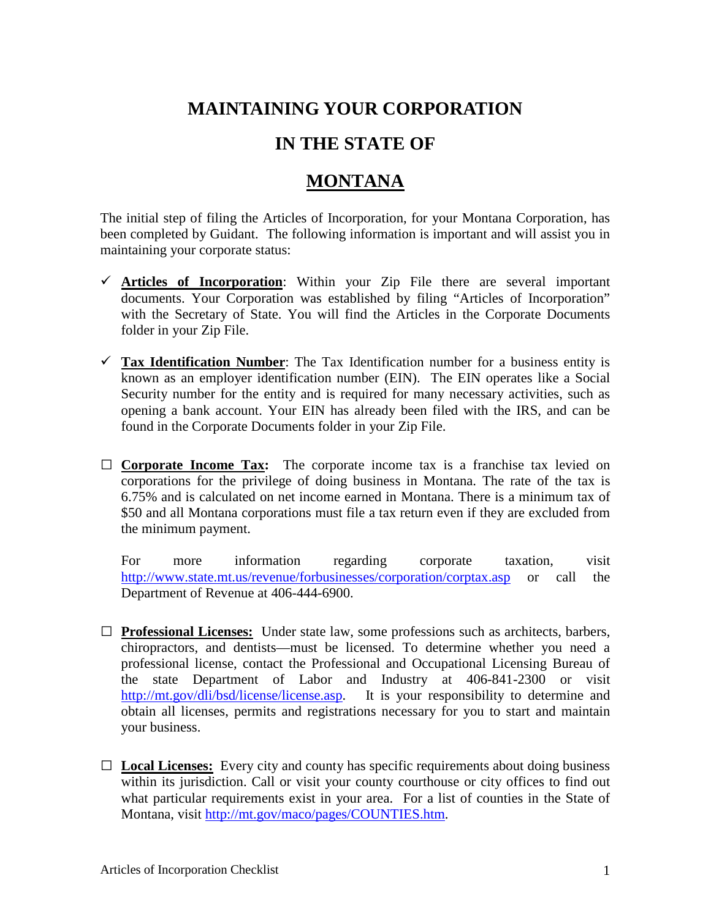## **MAINTAINING YOUR CORPORATION**

## **IN THE STATE OF**

## **MONTANA**

The initial step of filing the Articles of Incorporation, for your Montana Corporation, has been completed by Guidant. The following information is important and will assist you in maintaining your corporate status:

- **Articles of Incorporation**: Within your Zip File there are several important documents. Your Corporation was established by filing "Articles of Incorporation" with the Secretary of State. You will find the Articles in the Corporate Documents folder in your Zip File.
- $\checkmark$  Tax Identification Number: The Tax Identification number for a business entity is known as an employer identification number (EIN). The EIN operates like a Social Security number for the entity and is required for many necessary activities, such as opening a bank account. Your EIN has already been filed with the IRS, and can be found in the Corporate Documents folder in your Zip File.
- **□ Corporate Income Tax:** The corporate income tax is a franchise tax levied on corporations for the privilege of doing business in Montana. The rate of the tax is 6.75% and is calculated on net income earned in Montana. There is a minimum tax of \$50 and all Montana corporations must file a tax return even if they are excluded from the minimum payment.

For more information regarding corporate taxation, visit <http://www.state.mt.us/revenue/forbusinesses/corporation/corptax.asp> or call the Department of Revenue at 406-444-6900.

- **□ Professional Licenses:** Under state law, some professions such as architects, barbers, chiropractors, and dentists—must be licensed. To determine whether you need a professional license, contact the Professional and Occupational Licensing Bureau of the state Department of Labor and Industry at 406-841-2300 or visit [http://mt.gov/dli/bsd/license/license.asp.](http://mt.gov/dli/bsd/license/license.asp) It is your responsibility to determine and obtain all licenses, permits and registrations necessary for you to start and maintain your business.
- **□ Local Licenses:** Every city and county has specific requirements about doing business within its jurisdiction. Call or visit your county courthouse or city offices to find out what particular requirements exist in your area. For a list of counties in the State of Montana, visit [http://mt.gov/maco/pages/COUNTIES.htm.](http://mt.gov/maco/pages/COUNTIES.htm)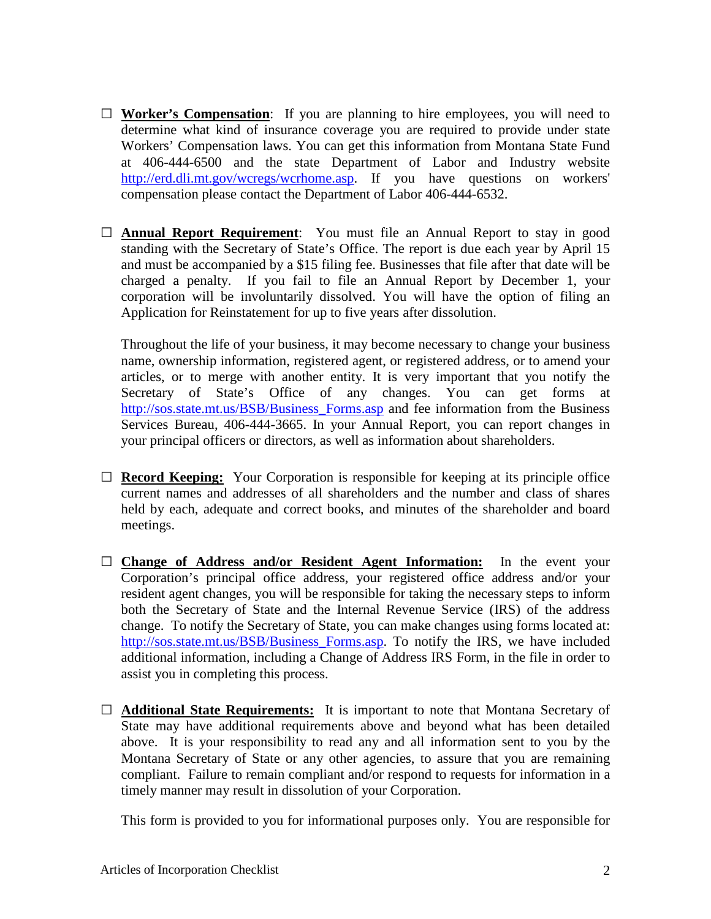- **□ Worker's Compensation**: If you are planning to hire employees, you will need to determine what kind of insurance coverage you are required to provide under state Workers' Compensation laws. You can get this information from Montana State Fund at 406-444-6500 and the state Department of Labor and Industry website [http://erd.dli.mt.gov/wcregs/wcrhome.asp.](http://erd.dli.mt.gov/wcregs/wcrhome.asp) If you have questions on workers' compensation please contact the Department of Labor 406-444-6532.
- □ **Annual Report Requirement**: You must file an Annual Report to stay in good standing with the Secretary of State's Office. The report is due each year by April 15 and must be accompanied by a \$15 filing fee. Businesses that file after that date will be charged a penalty. If you fail to file an Annual Report by December 1, your corporation will be involuntarily dissolved. You will have the option of filing an Application for Reinstatement for up to five years after dissolution.

Throughout the life of your business, it may become necessary to change your business name, ownership information, registered agent, or registered address, or to amend your articles, or to merge with another entity. It is very important that you notify the Secretary of State's Office of any changes. You can get forms at http://sos.state.mt.us/BSB/Business Forms.asp and fee information from the Business Services Bureau, 406-444-3665. In your Annual Report, you can report changes in your principal officers or directors, as well as information about shareholders.

- **□ Record Keeping:** Your Corporation is responsible for keeping at its principle office current names and addresses of all shareholders and the number and class of shares held by each, adequate and correct books, and minutes of the shareholder and board meetings.
- □ **Change of Address and/or Resident Agent Information:** In the event your Corporation's principal office address, your registered office address and/or your resident agent changes, you will be responsible for taking the necessary steps to inform both the Secretary of State and the Internal Revenue Service (IRS) of the address change. To notify the Secretary of State, you can make changes using forms located at: [http://sos.state.mt.us/BSB/Business\\_Forms.asp.](http://sos.state.mt.us/BSB/Business_Forms.asp) To notify the IRS, we have included additional information, including a Change of Address IRS Form, in the file in order to assist you in completing this process.
- □ **Additional State Requirements:** It is important to note that Montana Secretary of State may have additional requirements above and beyond what has been detailed above. It is your responsibility to read any and all information sent to you by the Montana Secretary of State or any other agencies, to assure that you are remaining compliant. Failure to remain compliant and/or respond to requests for information in a timely manner may result in dissolution of your Corporation.

This form is provided to you for informational purposes only. You are responsible for